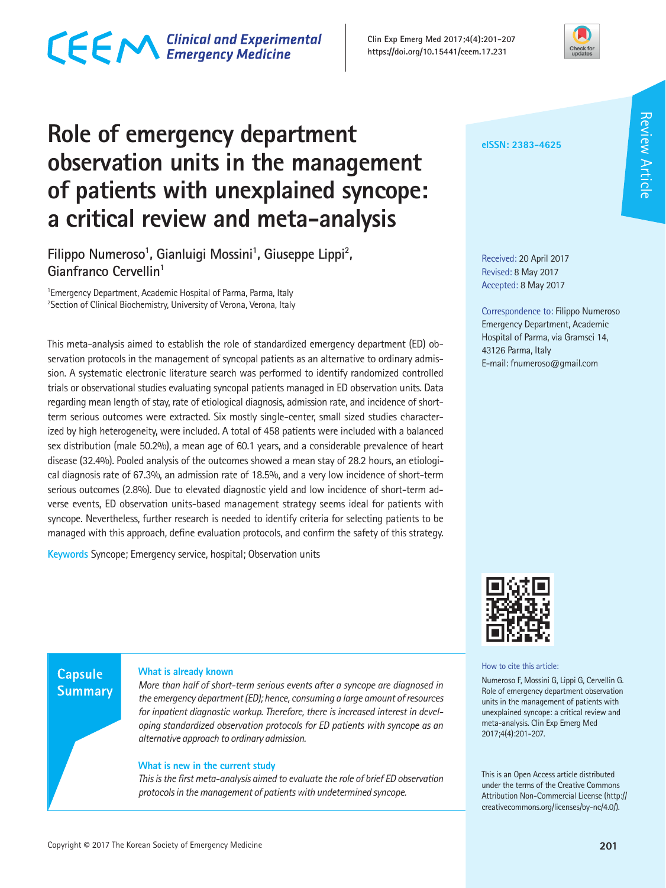### **What is new in the current study**

**Capsule Summary** 

> *This is the first meta-analysis aimed to evaluate the role of brief ED observation protocols in the management of patients with undetermined syncope.*

> *More than half of short-term serious events after a syncope are diagnosed in the emergency department (ED); hence, consuming a large amount of resources for inpatient diagnostic workup. Therefore, there is increased interest in developing standardized observation protocols for ED patients with syncope as an*

**Role of emergency department observation units in the management of patients with unexplained syncope: a critical review and meta-analysis** 

Filippo Numeroso<sup>1</sup>, Gianluigi Mossini<sup>1</sup>, Giuseppe Lippi<sup>2</sup>, **Gianfranco Cervellin1**

1 Emergency Department, Academic Hospital of Parma, Parma, Italy <sup>2</sup>Section of Clinical Biochemistry, University of Verona, Verona, Italy

This meta-analysis aimed to establish the role of standardized emergency department (ED) observation protocols in the management of syncopal patients as an alternative to ordinary admission. A systematic electronic literature search was performed to identify randomized controlled trials or observational studies evaluating syncopal patients managed in ED observation units. Data regarding mean length of stay, rate of etiological diagnosis, admission rate, and incidence of shortterm serious outcomes were extracted. Six mostly single-center, small sized studies characterized by high heterogeneity, were included. A total of 458 patients were included with a balanced sex distribution (male 50.2%), a mean age of 60.1 years, and a considerable prevalence of heart disease (32.4%). Pooled analysis of the outcomes showed a mean stay of 28.2 hours, an etiological diagnosis rate of 67.3%, an admission rate of 18.5%, and a very low incidence of short-term serious outcomes (2.8%). Due to elevated diagnostic yield and low incidence of short-term adverse events, ED observation units-based management strategy seems ideal for patients with syncope. Nevertheless, further research is needed to identify criteria for selecting patients to be managed with this approach, define evaluation protocols, and confirm the safety of this strategy.

**Keywords** Syncope; Emergency service, hospital; Observation units

**What is already known**

*alternative approach to ordinary admission.*

Copyright **©** 2017 The Korean Society of Emergency Medicine **201**

Received: 20 April 2017 Revised: 8 May 2017 Accepted: 8 May 2017

**eISSN: 2383-4625**

Correspondence to: Filippo Numeroso Emergency Department, Academic Hospital of Parma, via Gramsci 14, 43126 Parma, Italy E-mail: fnumeroso@gmail.com



How to cite this article:

Numeroso F, Mossini G, Lippi G, Cervellin G. Role of emergency department observation units in the management of patients with unexplained syncope: a critical review and meta-analysis. Clin Exp Emerg Med 2017;4(4):201-207.

This is an Open Access article distributed under the terms of the Creative Commons Attribution Non-Commercial License (http:// creativecommons.org/licenses/by-nc/4.0/).



# CECM Clinical and Experimental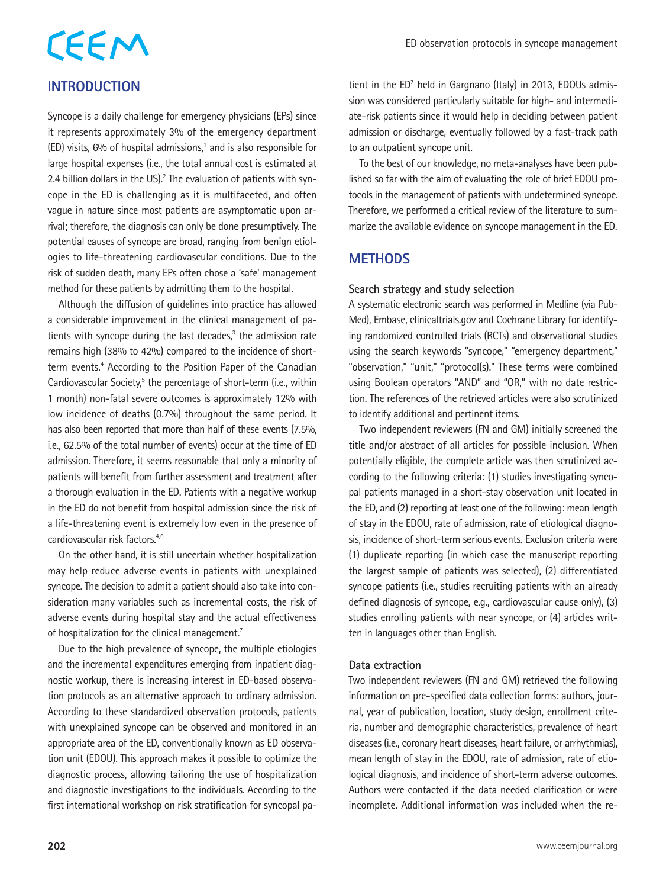# **INTRODUCTION**

Syncope is a daily challenge for emergency physicians (EPs) since it represents approximately 3% of the emergency department  $(ED)$  visits, 6% of hospital admissions,<sup>1</sup> and is also responsible for large hospital expenses (i.e., the total annual cost is estimated at 2.4 billion dollars in the US). $2$  The evaluation of patients with syncope in the ED is challenging as it is multifaceted, and often vague in nature since most patients are asymptomatic upon arrival; therefore, the diagnosis can only be done presumptively. The potential causes of syncope are broad, ranging from benign etiologies to life-threatening cardiovascular conditions. Due to the risk of sudden death, many EPs often chose a 'safe' management method for these patients by admitting them to the hospital.

Although the diffusion of guidelines into practice has allowed a considerable improvement in the clinical management of patients with syncope during the last decades,<sup>3</sup> the admission rate remains high (38% to 42%) compared to the incidence of shortterm events.<sup>4</sup> According to the Position Paper of the Canadian Cardiovascular Society,<sup>5</sup> the percentage of short-term (i.e., within 1 month) non-fatal severe outcomes is approximately 12% with low incidence of deaths (0.7%) throughout the same period. It has also been reported that more than half of these events (7.5%, i.e., 62.5% of the total number of events) occur at the time of ED admission. Therefore, it seems reasonable that only a minority of patients will benefit from further assessment and treatment after a thorough evaluation in the ED. Patients with a negative workup in the ED do not benefit from hospital admission since the risk of a life-threatening event is extremely low even in the presence of cardiovascular risk factors.<sup>4,6</sup>

On the other hand, it is still uncertain whether hospitalization may help reduce adverse events in patients with unexplained syncope. The decision to admit a patient should also take into consideration many variables such as incremental costs, the risk of adverse events during hospital stay and the actual effectiveness of hospitalization for the clinical management.<sup>7</sup>

Due to the high prevalence of syncope, the multiple etiologies and the incremental expenditures emerging from inpatient diagnostic workup, there is increasing interest in ED-based observation protocols as an alternative approach to ordinary admission. According to these standardized observation protocols, patients with unexplained syncope can be observed and monitored in an appropriate area of the ED, conventionally known as ED observation unit (EDOU). This approach makes it possible to optimize the diagnostic process, allowing tailoring the use of hospitalization and diagnostic investigations to the individuals. According to the first international workshop on risk stratification for syncopal pa-

tient in the ED<sup>7</sup> held in Gargnano (Italy) in 2013, EDOUs admission was considered particularly suitable for high- and intermediate-risk patients since it would help in deciding between patient admission or discharge, eventually followed by a fast-track path to an outpatient syncope unit.

To the best of our knowledge, no meta-analyses have been published so far with the aim of evaluating the role of brief EDOU protocols in the management of patients with undetermined syncope. Therefore, we performed a critical review of the literature to summarize the available evidence on syncope management in the ED.

### **METHODS**

#### **Search strategy and study selection**

A systematic electronic search was performed in Medline (via Pub-Med), Embase, clinicaltrials.gov and Cochrane Library for identifying randomized controlled trials (RCTs) and observational studies using the search keywords "syncope," "emergency department," "observation," "unit," "protocol(s)." These terms were combined using Boolean operators "AND" and "OR," with no date restriction. The references of the retrieved articles were also scrutinized to identify additional and pertinent items.

Two independent reviewers (FN and GM) initially screened the title and/or abstract of all articles for possible inclusion. When potentially eligible, the complete article was then scrutinized according to the following criteria: (1) studies investigating syncopal patients managed in a short-stay observation unit located in the ED, and (2) reporting at least one of the following: mean length of stay in the EDOU, rate of admission, rate of etiological diagnosis, incidence of short-term serious events. Exclusion criteria were (1) duplicate reporting (in which case the manuscript reporting the largest sample of patients was selected), (2) differentiated syncope patients (i.e., studies recruiting patients with an already defined diagnosis of syncope, e.g., cardiovascular cause only), (3) studies enrolling patients with near syncope, or (4) articles written in languages other than English.

#### **Data extraction**

Two independent reviewers (FN and GM) retrieved the following information on pre-specified data collection forms: authors, journal, year of publication, location, study design, enrollment criteria, number and demographic characteristics, prevalence of heart diseases (i.e., coronary heart diseases, heart failure, or arrhythmias), mean length of stay in the EDOU, rate of admission, rate of etiological diagnosis, and incidence of short-term adverse outcomes. Authors were contacted if the data needed clarification or were incomplete. Additional information was included when the re-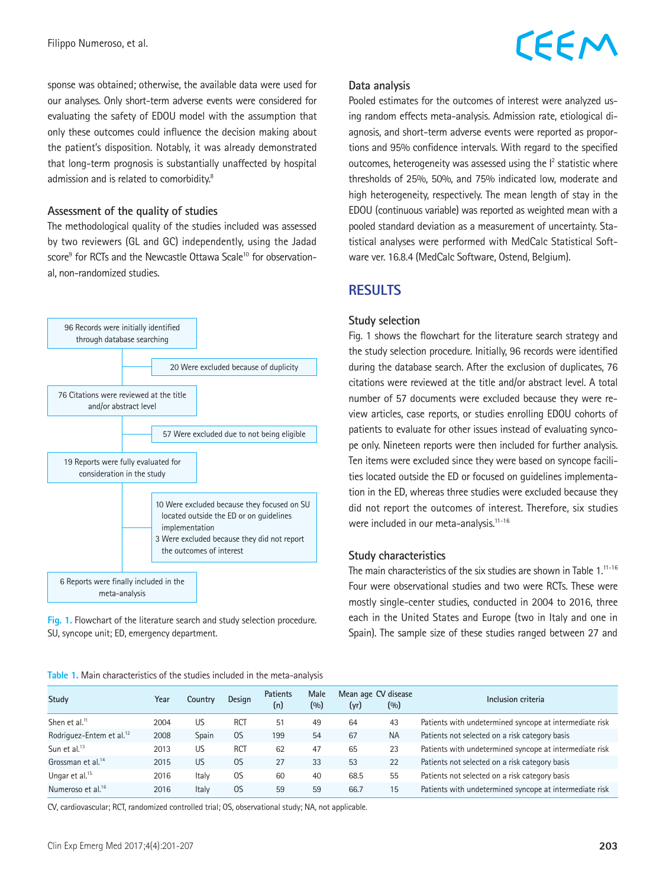sponse was obtained; otherwise, the available data were used for our analyses. Only short-term adverse events were considered for evaluating the safety of EDOU model with the assumption that only these outcomes could influence the decision making about the patient's disposition. Notably, it was already demonstrated that long-term prognosis is substantially unaffected by hospital admission and is related to comorbidity.<sup>8</sup>

#### **Assessment of the quality of studies**

The methodological quality of the studies included was assessed by two reviewers (GL and GC) independently, using the Jadad score<sup>9</sup> for RCTs and the Newcastle Ottawa Scale<sup>10</sup> for observational, non-randomized studies.



**Fig. 1.** Flowchart of the literature search and study selection procedure. SU, syncope unit; ED, emergency department.

#### **Data analysis**

Pooled estimates for the outcomes of interest were analyzed using random effects meta-analysis. Admission rate, etiological diagnosis, and short-term adverse events were reported as proportions and 95% confidence intervals. With regard to the specified outcomes, heterogeneity was assessed using the  $l^2$  statistic where thresholds of 25%, 50%, and 75% indicated low, moderate and high heterogeneity, respectively. The mean length of stay in the EDOU (continuous variable) was reported as weighted mean with a pooled standard deviation as a measurement of uncertainty. Statistical analyses were performed with MedCalc Statistical Software ver. 16.8.4 (MedCalc Software, Ostend, Belgium).

### **RESULTS**

#### **Study selection**

Fig. 1 shows the flowchart for the literature search strategy and the study selection procedure. Initially, 96 records were identified during the database search. After the exclusion of duplicates, 76 citations were reviewed at the title and/or abstract level. A total number of 57 documents were excluded because they were review articles, case reports, or studies enrolling EDOU cohorts of patients to evaluate for other issues instead of evaluating syncope only. Nineteen reports were then included for further analysis. Ten items were excluded since they were based on syncope facilities located outside the ED or focused on guidelines implementation in the ED, whereas three studies were excluded because they did not report the outcomes of interest. Therefore, six studies were included in our meta-analysis.<sup>11-16</sup>

#### **Study characteristics**

The main characteristics of the six studies are shown in Table  $1^{11-16}$ Four were observational studies and two were RCTs. These were mostly single-center studies, conducted in 2004 to 2016, three each in the United States and Europe (two in Italy and one in Spain). The sample size of these studies ranged between 27 and

|  |  | Table 1. Main characteristics of the studies included in the meta-analysis |  |  |  |  |  |  |  |
|--|--|----------------------------------------------------------------------------|--|--|--|--|--|--|--|
|--|--|----------------------------------------------------------------------------|--|--|--|--|--|--|--|

| <b>Study</b>                         | Year | Country | <b>Design</b> | <b>Patients</b><br>(n) | Male<br>(0/0) | (yr) | Mean age CV disease<br>(0/0) | Inclusion criteria                                      |
|--------------------------------------|------|---------|---------------|------------------------|---------------|------|------------------------------|---------------------------------------------------------|
| Shen et al. $11$                     | 2004 | US      | <b>RCT</b>    | 51                     | 49            | 64   | 43                           | Patients with undetermined syncope at intermediate risk |
| Rodriguez-Entem et al. <sup>12</sup> | 2008 | Spain   | OS            | 199                    | 54            | 67   | <b>NA</b>                    | Patients not selected on a risk category basis          |
| Sun et al. <sup>13</sup>             | 2013 | US      | <b>RCT</b>    | 62                     | 47            | 65   | 23                           | Patients with undetermined syncope at intermediate risk |
| Grossman et al. <sup>14</sup>        | 2015 | US      | 0S            | 27                     | 33            | 53   | 22                           | Patients not selected on a risk category basis          |
| Ungar et al. <sup>15</sup>           | 2016 | Italy   | 0S            | 60                     | 40            | 68.5 | 55                           | Patients not selected on a risk category basis          |
| Numeroso et al. <sup>16</sup>        | 2016 | Italy   | 0S            | 59                     | 59            | 66.7 | 15                           | Patients with undetermined syncope at intermediate risk |

CV, cardiovascular; RCT, randomized controlled trial; OS, observational study; NA, not applicable.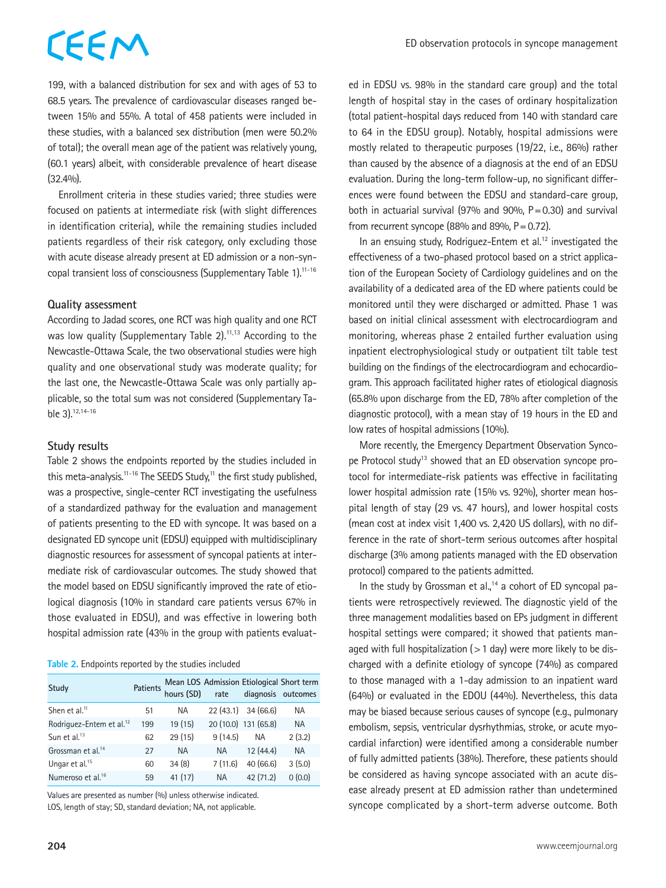#### ED observation protocols in syncope management

# CEEM

199, with a balanced distribution for sex and with ages of 53 to 68.5 years. The prevalence of cardiovascular diseases ranged between 15% and 55%. A total of 458 patients were included in these studies, with a balanced sex distribution (men were 50.2% of total); the overall mean age of the patient was relatively young, (60.1 years) albeit, with considerable prevalence of heart disease  $(32.4%).$ 

Enrollment criteria in these studies varied; three studies were focused on patients at intermediate risk (with slight differences in identification criteria), while the remaining studies included patients regardless of their risk category, only excluding those with acute disease already present at ED admission or a non-syncopal transient loss of consciousness (Supplementary Table 1).<sup>11-16</sup>

#### **Quality assessment**

According to Jadad scores, one RCT was high quality and one RCT was low quality (Supplementary Table 2).<sup>11,13</sup> According to the Newcastle-Ottawa Scale, the two observational studies were high quality and one observational study was moderate quality; for the last one, the Newcastle-Ottawa Scale was only partially applicable, so the total sum was not considered (Supplementary Table 3).12,14-16

#### **Study results**

Table 2 shows the endpoints reported by the studies included in this meta-analysis.<sup>11-16</sup> The SEEDS Study,<sup>11</sup> the first study published, was a prospective, single-center RCT investigating the usefulness of a standardized pathway for the evaluation and management of patients presenting to the ED with syncope. It was based on a designated ED syncope unit (EDSU) equipped with multidisciplinary diagnostic resources for assessment of syncopal patients at intermediate risk of cardiovascular outcomes. The study showed that the model based on EDSU significantly improved the rate of etiological diagnosis (10% in standard care patients versus 67% in those evaluated in EDSU), and was effective in lowering both hospital admission rate (43% in the group with patients evaluat-

#### **Table 2.** Endpoints reported by the studies included

| <b>Study</b>                         |     |           |           |                      | Patients Mean LOS Admission Etiological Short term<br>hours (SD) rate diagnosis outcomes |
|--------------------------------------|-----|-----------|-----------|----------------------|------------------------------------------------------------------------------------------|
| Shen et al. <sup>11</sup>            | 51  | NA.       |           | 22 (43.1) 34 (66.6)  | <b>NA</b>                                                                                |
| Rodriguez-Entem et al. <sup>12</sup> | 199 | 19(15)    |           | 20 (10.0) 131 (65.8) | <b>NA</b>                                                                                |
| Sun et al. <sup>13</sup>             | 62  | 29 (15)   | 9(14.5)   | <b>NA</b>            | 2(3.2)                                                                                   |
| Grossman et al. <sup>14</sup>        | 27  | <b>NA</b> | <b>NA</b> | 12(44.4)             | <b>NA</b>                                                                                |
| Ungar et al. <sup>15</sup>           | 60  | 34(8)     | 7(11.6)   | 40 (66.6)            | 3(5.0)                                                                                   |
| Numeroso et al. <sup>16</sup>        | 59  | 41(17)    | <b>NA</b> | 42(71.2)             | 0(0.0)                                                                                   |

Values are presented as number (%) unless otherwise indicated. LOS, length of stay; SD, standard deviation; NA, not applicable.

ed in EDSU vs. 98% in the standard care group) and the total length of hospital stay in the cases of ordinary hospitalization (total patient-hospital days reduced from 140 with standard care to 64 in the EDSU group). Notably, hospital admissions were mostly related to therapeutic purposes (19/22, i.e., 86%) rather than caused by the absence of a diagnosis at the end of an EDSU evaluation. During the long-term follow-up, no significant differences were found between the EDSU and standard-care group, both in actuarial survival (97% and 90%,  $P = 0.30$ ) and survival from recurrent syncope (88% and 89%,  $P = 0.72$ ).

In an ensuing study, Rodriguez-Entem et al. $12$  investigated the effectiveness of a two-phased protocol based on a strict application of the European Society of Cardiology guidelines and on the availability of a dedicated area of the ED where patients could be monitored until they were discharged or admitted. Phase 1 was based on initial clinical assessment with electrocardiogram and monitoring, whereas phase 2 entailed further evaluation using inpatient electrophysiological study or outpatient tilt table test building on the findings of the electrocardiogram and echocardiogram. This approach facilitated higher rates of etiological diagnosis (65.8% upon discharge from the ED, 78% after completion of the diagnostic protocol), with a mean stay of 19 hours in the ED and low rates of hospital admissions (10%).

More recently, the Emergency Department Observation Syncope Protocol study<sup>13</sup> showed that an ED observation syncope protocol for intermediate-risk patients was effective in facilitating lower hospital admission rate (15% vs. 92%), shorter mean hospital length of stay (29 vs. 47 hours), and lower hospital costs (mean cost at index visit 1,400 vs. 2,420 US dollars), with no difference in the rate of short-term serious outcomes after hospital discharge (3% among patients managed with the ED observation protocol) compared to the patients admitted.

In the study by Grossman et al.,<sup>14</sup> a cohort of ED syncopal patients were retrospectively reviewed. The diagnostic yield of the three management modalities based on EPs judgment in different hospital settings were compared; it showed that patients managed with full hospitalization ( $>1$  day) were more likely to be discharged with a definite etiology of syncope (74%) as compared to those managed with a 1-day admission to an inpatient ward (64%) or evaluated in the EDOU (44%). Nevertheless, this data may be biased because serious causes of syncope (e.g., pulmonary embolism, sepsis, ventricular dysrhythmias, stroke, or acute myocardial infarction) were identified among a considerable number of fully admitted patients (38%). Therefore, these patients should be considered as having syncope associated with an acute disease already present at ED admission rather than undetermined syncope complicated by a short-term adverse outcome. Both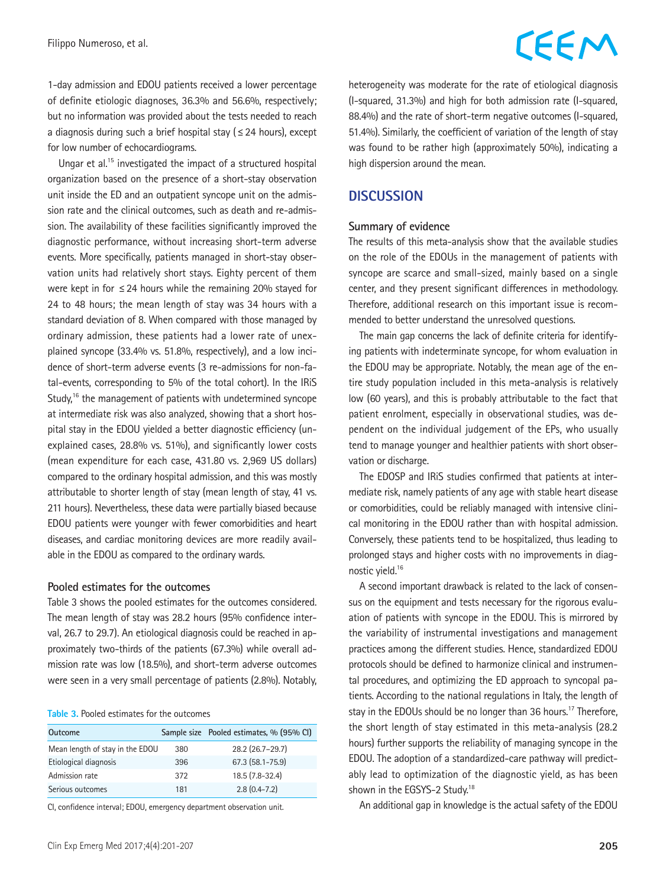Filippo Numeroso, et al.

### 1-day admission and EDOU patients received a lower percentage of definite etiologic diagnoses, 36.3% and 56.6%, respectively; but no information was provided about the tests needed to reach a diagnosis during such a brief hospital stay ( $\leq$  24 hours), except for low number of echocardiograms.

Ungar et al.15 investigated the impact of a structured hospital organization based on the presence of a short-stay observation unit inside the ED and an outpatient syncope unit on the admission rate and the clinical outcomes, such as death and re-admission. The availability of these facilities significantly improved the diagnostic performance, without increasing short-term adverse events. More specifically, patients managed in short-stay observation units had relatively short stays. Eighty percent of them were kept in for ≤24 hours while the remaining 20% stayed for 24 to 48 hours; the mean length of stay was 34 hours with a standard deviation of 8. When compared with those managed by ordinary admission, these patients had a lower rate of unexplained syncope (33.4% vs. 51.8%, respectively), and a low incidence of short-term adverse events (3 re-admissions for non-fatal-events, corresponding to 5% of the total cohort). In the IRiS Study,<sup>16</sup> the management of patients with undetermined syncope at intermediate risk was also analyzed, showing that a short hospital stay in the EDOU yielded a better diagnostic efficiency (unexplained cases, 28.8% vs. 51%), and significantly lower costs (mean expenditure for each case, 431.80 vs. 2,969 US dollars) compared to the ordinary hospital admission, and this was mostly attributable to shorter length of stay (mean length of stay, 41 vs. 211 hours). Nevertheless, these data were partially biased because EDOU patients were younger with fewer comorbidities and heart diseases, and cardiac monitoring devices are more readily available in the EDOU as compared to the ordinary wards.

#### **Pooled estimates for the outcomes**

Table 3 shows the pooled estimates for the outcomes considered. The mean length of stay was 28.2 hours (95% confidence interval, 26.7 to 29.7). An etiological diagnosis could be reached in approximately two-thirds of the patients (67.3%) while overall admission rate was low (18.5%), and short-term adverse outcomes were seen in a very small percentage of patients (2.8%). Notably,

#### **Table 3.** Pooled estimates for the outcomes

| Outcome                         |     | Sample size Pooled estimates, % (95% CI) |
|---------------------------------|-----|------------------------------------------|
| Mean length of stay in the EDOU | 380 | 28.2 (26.7-29.7)                         |
| Etiological diagnosis           | 396 | 67.3 (58.1-75.9)                         |
| Admission rate                  | 372 | 18.5 (7.8-32.4)                          |
| Serious outcomes                | 181 | $2.8(0.4 - 7.2)$                         |

CI, confidence interval; EDOU, emergency department observation unit.

# CEEM

heterogeneity was moderate for the rate of etiological diagnosis (I-squared, 31.3%) and high for both admission rate (I-squared, 88.4%) and the rate of short-term negative outcomes (I-squared, 51.4%). Similarly, the coefficient of variation of the length of stay was found to be rather high (approximately 50%), indicating a high dispersion around the mean.

### **DISCUSSION**

#### **Summary of evidence**

The results of this meta-analysis show that the available studies on the role of the EDOUs in the management of patients with syncope are scarce and small-sized, mainly based on a single center, and they present significant differences in methodology. Therefore, additional research on this important issue is recommended to better understand the unresolved questions.

The main gap concerns the lack of definite criteria for identifying patients with indeterminate syncope, for whom evaluation in the EDOU may be appropriate. Notably, the mean age of the entire study population included in this meta-analysis is relatively low (60 years), and this is probably attributable to the fact that patient enrolment, especially in observational studies, was dependent on the individual judgement of the EPs, who usually tend to manage younger and healthier patients with short observation or discharge.

The EDOSP and IRiS studies confirmed that patients at intermediate risk, namely patients of any age with stable heart disease or comorbidities, could be reliably managed with intensive clinical monitoring in the EDOU rather than with hospital admission. Conversely, these patients tend to be hospitalized, thus leading to prolonged stays and higher costs with no improvements in diagnostic yield.16

A second important drawback is related to the lack of consensus on the equipment and tests necessary for the rigorous evaluation of patients with syncope in the EDOU. This is mirrored by the variability of instrumental investigations and management practices among the different studies. Hence, standardized EDOU protocols should be defined to harmonize clinical and instrumental procedures, and optimizing the ED approach to syncopal patients. According to the national regulations in Italy, the length of stay in the EDOUs should be no longer than 36 hours.<sup>17</sup> Therefore, the short length of stay estimated in this meta-analysis (28.2 hours) further supports the reliability of managing syncope in the EDOU. The adoption of a standardized-care pathway will predictably lead to optimization of the diagnostic yield, as has been shown in the EGSYS-2 Study.18

An additional gap in knowledge is the actual safety of the EDOU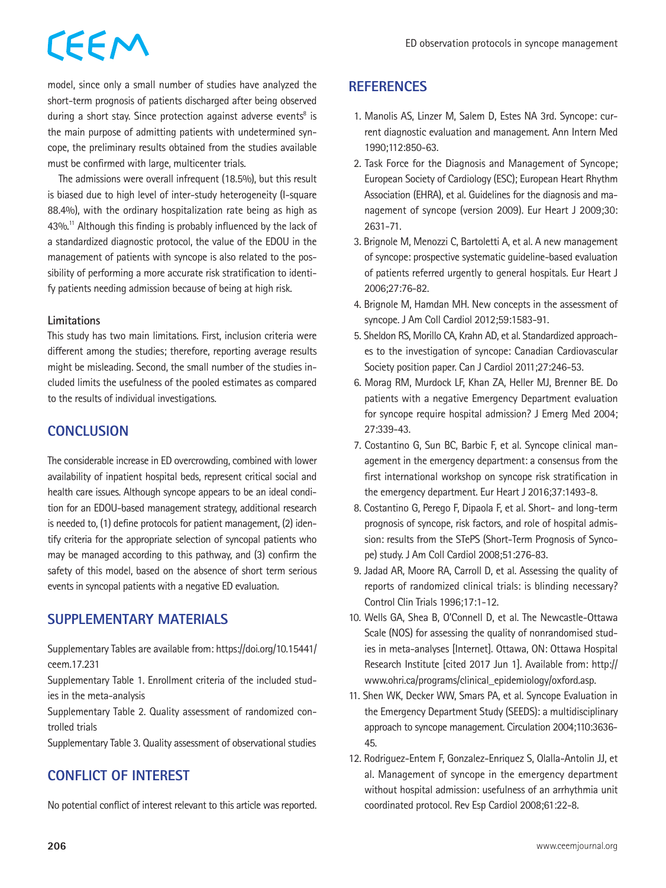model, since only a small number of studies have analyzed the short-term prognosis of patients discharged after being observed during a short stay. Since protection against adverse events<sup>8</sup> is the main purpose of admitting patients with undetermined syncope, the preliminary results obtained from the studies available must be confirmed with large, multicenter trials.

The admissions were overall infrequent (18.5%), but this result is biased due to high level of inter-study heterogeneity (I-square 88.4%), with the ordinary hospitalization rate being as high as 43%.<sup>11</sup> Although this finding is probably influenced by the lack of a standardized diagnostic protocol, the value of the EDOU in the management of patients with syncope is also related to the possibility of performing a more accurate risk stratification to identify patients needing admission because of being at high risk.

#### **Limitations**

This study has two main limitations. First, inclusion criteria were different among the studies; therefore, reporting average results might be misleading. Second, the small number of the studies included limits the usefulness of the pooled estimates as compared to the results of individual investigations.

## **CONCLUSION**

The considerable increase in ED overcrowding, combined with lower availability of inpatient hospital beds, represent critical social and health care issues. Although syncope appears to be an ideal condition for an EDOU-based management strategy, additional research is needed to, (1) define protocols for patient management, (2) identify criteria for the appropriate selection of syncopal patients who may be managed according to this pathway, and (3) confirm the safety of this model, based on the absence of short term serious events in syncopal patients with a negative ED evaluation.

# **SUPPLEMENTARY MATERIALS**

Supplementary Tables are available from: [https://doi.org/10.15441/](https://doi.org/10.15441/ceem.17.231) [ceem.17.231](https://doi.org/10.15441/ceem.17.231)

Supplementary Table 1. Enrollment criteria of the included studies in the meta-analysis

Supplementary Table 2. Quality assessment of randomized controlled trials

Supplementary Table 3. Quality assessment of observational studies

# **CONFLICT OF INTEREST**

No potential conflict of interest relevant to this article was reported.

### **REFERENCES**

- 1. Manolis AS, Linzer M, Salem D, Estes NA 3rd. Syncope: current diagnostic evaluation and management. Ann Intern Med 1990;112:850-63.
- 2. Task Force for the Diagnosis and Management of Syncope; European Society of Cardiology (ESC); European Heart Rhythm Association (EHRA), et al. Guidelines for the diagnosis and management of syncope (version 2009). Eur Heart J 2009;30: 2631-71.
- 3. Brignole M, Menozzi C, Bartoletti A, et al. A new management of syncope: prospective systematic guideline-based evaluation of patients referred urgently to general hospitals. Eur Heart J 2006;27:76-82.
- 4. Brignole M, Hamdan MH. New concepts in the assessment of syncope. J Am Coll Cardiol 2012;59:1583-91.
- 5. Sheldon RS, Morillo CA, Krahn AD, et al. Standardized approaches to the investigation of syncope: Canadian Cardiovascular Society position paper. Can J Cardiol 2011;27:246-53.
- 6. Morag RM, Murdock LF, Khan ZA, Heller MJ, Brenner BE. Do patients with a negative Emergency Department evaluation for syncope require hospital admission? J Emerg Med 2004; 27:339-43.
- 7. Costantino G, Sun BC, Barbic F, et al. Syncope clinical management in the emergency department: a consensus from the first international workshop on syncope risk stratification in the emergency department. Eur Heart J 2016;37:1493-8.
- 8. Costantino G, Perego F, Dipaola F, et al. Short- and long-term prognosis of syncope, risk factors, and role of hospital admission: results from the STePS (Short-Term Prognosis of Syncope) study. J Am Coll Cardiol 2008;51:276-83.
- 9. Jadad AR, Moore RA, Carroll D, et al. Assessing the quality of reports of randomized clinical trials: is blinding necessary? Control Clin Trials 1996;17:1-12.
- 10. Wells GA, Shea B, O'Connell D, et al. The Newcastle-Ottawa Scale (NOS) for assessing the quality of nonrandomised studies in meta-analyses [Internet]. Ottawa, ON: Ottawa Hospital Research Institute [cited 2017 Jun 1]. Available from: http:// www.ohri.ca/programs/clinical\_epidemiology/oxford.asp.
- 11. Shen WK, Decker WW, Smars PA, et al. Syncope Evaluation in the Emergency Department Study (SEEDS): a multidisciplinary approach to syncope management. Circulation 2004;110:3636- 45.
- 12. Rodriguez-Entem F, Gonzalez-Enriquez S, Olalla-Antolin JJ, et al. Management of syncope in the emergency department without hospital admission: usefulness of an arrhythmia unit coordinated protocol. Rev Esp Cardiol 2008;61:22-8.